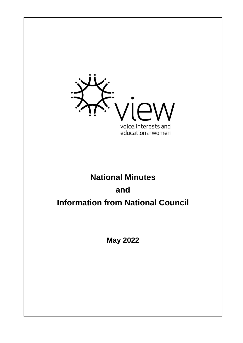

# **National Minutes and Information from National Council**

**May 2022**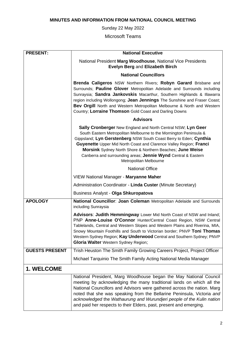# **MINUTES AND INFORMATION FROM NATIONAL COUNCIL MEETING**

Sunday 22 May 2022

Microsoft Teams

| <b>PRESENT:</b>       | <b>National Executive</b>                                                                                                                                                                                                                                                                                                                                                                                                                     |
|-----------------------|-----------------------------------------------------------------------------------------------------------------------------------------------------------------------------------------------------------------------------------------------------------------------------------------------------------------------------------------------------------------------------------------------------------------------------------------------|
|                       | National President Marg Woodhouse, National Vice Presidents<br>Evelyn Berg and Elizabeth Birch                                                                                                                                                                                                                                                                                                                                                |
|                       | <b>National Councillors</b>                                                                                                                                                                                                                                                                                                                                                                                                                   |
|                       | Brenda Caligeros NSW Northern Rivers; Robyn Garard Brisbane and<br>Surrounds; Pauline Glover Metropolitan Adelaide and Surrounds including<br>Sunraysia; Sandra Jankovskis Macarthur, Southern Highlands & Illawarra<br>region including Wollongong; Jean Jennings The Sunshine and Fraser Coast;<br>Bev Orgill North and Western Metropolitan Melbourne & North and Western<br>Country; Lorraine Thomson Gold Coast and Darling Downs        |
|                       | <b>Advisors</b>                                                                                                                                                                                                                                                                                                                                                                                                                               |
|                       | Sally Cronberger New England and North Central NSW; Lyn Geer<br>South Eastern Metropolitan Melbourne to the Mornington Peninsula &<br>Gippsland; Lyn Gerstenberg NSW South Coast Berry to Eden; Cynthia<br><b>Guyenette Upper Mid North Coast and Clarence Valley Region; Franci</b><br>Morsink Sydney North Shore & Northern Beaches; June Weise<br>Canberra and surrounding areas; Jennie Wynd Central & Eastern<br>Metropolitan Melbourne  |
|                       | <b>National Office</b>                                                                                                                                                                                                                                                                                                                                                                                                                        |
|                       | <b>VIEW National Manager - Maryanne Maher</b>                                                                                                                                                                                                                                                                                                                                                                                                 |
|                       | Administration Coordinator - Linda Custer (Minute Secretary)                                                                                                                                                                                                                                                                                                                                                                                  |
|                       | Business Analyst - Olga Shkuropatova                                                                                                                                                                                                                                                                                                                                                                                                          |
| <b>APOLOGY</b>        | National Councillor: Joan Coleman Metropolitan Adelaide and Surrounds<br>including Sunraysia                                                                                                                                                                                                                                                                                                                                                  |
|                       | Advisors: Judith Hemmingway Lower Mid North Coast of NSW and Inland;<br>PNP Anne-Louise O'Connor Hunter/Central Coast Region, NSW Central<br>Tablelands, Central and Western Slopes and Western Plains and Riverina, MIA,<br>Snowy Mountain Foothills and South to Victorian border; PNVP Toni Thomas<br>Western Sydney Region; Kay Underwood Central and Southern Sydney; PNVP<br>Gloria Walter Western Sydney Region;                       |
| <b>GUESTS PRESENT</b> | Trish Heuston The Smith Family Growing Careers Project, Project Officer                                                                                                                                                                                                                                                                                                                                                                       |
|                       | Michael Tarquinio The Smith Family Acting National Media Manager                                                                                                                                                                                                                                                                                                                                                                              |
| 1. WELCOME            |                                                                                                                                                                                                                                                                                                                                                                                                                                               |
|                       | National President, Marg Woodhouse began the May National Council<br>meeting by acknowledging the many traditional lands on which all the<br>National Councillors and Advisors were gathered across the nation. Marg<br>noted that she was speaking from the Bellarine Peninsula, Victoria and<br>acknowledged the Wathaurung and Wurundjeri people of the Kulin nation<br>and paid her respects to their Elders, past, present and emerging. |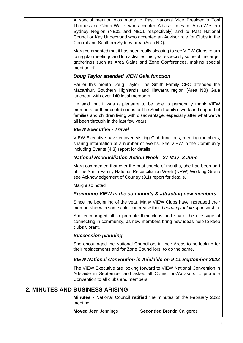| A special mention was made to Past National Vice President's Toni<br>Thomas and Gloria Walter who accepted Advisor roles for Area Western<br>Sydney Region (NE02 and NE01 respectively) and to Past National<br>Councillor Kay Underwood who accepted an Advisor role for Clubs in the<br>Central and Southern Sydney area (Area ND). |
|---------------------------------------------------------------------------------------------------------------------------------------------------------------------------------------------------------------------------------------------------------------------------------------------------------------------------------------|
| Marg commented that it has been really pleasing to see VIEW Clubs return<br>to regular meetings and fun activities this year especially some of the larger<br>gatherings such as Area Galas and Zone Conferences, making special<br>mention of:                                                                                       |
| <b>Doug Taylor attended VIEW Gala function</b>                                                                                                                                                                                                                                                                                        |
| Earlier this month Doug Taylor The Smith Family CEO attended the<br>Macarthur, Southern Highlands and Illawarra region (Area NB) Gala<br>luncheon with over 140 local members.                                                                                                                                                        |
| He said that it was a pleasure to be able to personally thank VIEW<br>members for their contributions to The Smith Family's work and support of<br>families and children living with disadvantage, especially after what we've<br>all been through in the last few years.                                                             |
| <b>VIEW Executive - Travel</b>                                                                                                                                                                                                                                                                                                        |
| VIEW Executive have enjoyed visiting Club functions, meeting members,<br>sharing information at a number of events. See VIEW in the Community<br>including Events (4.3) report for details.                                                                                                                                           |
| <b>National Reconciliation Action Week - 27 May- 3 June</b>                                                                                                                                                                                                                                                                           |
| Marg commented that over the past couple of months, she had been part<br>of The Smith Family National Reconciliation Week (NRW) Working Group<br>see Acknowledgement of Country (8.1) report for details.                                                                                                                             |
| Marg also noted:                                                                                                                                                                                                                                                                                                                      |
| Promoting VIEW in the community & attracting new members                                                                                                                                                                                                                                                                              |
| Since the beginning of the year, Many VIEW Clubs have increased their<br>membership with some able to increase their Learning for Life sponsorship.                                                                                                                                                                                   |
| She encouraged all to promote their clubs and share the message of<br>connecting in community, as new members bring new ideas help to keep<br>clubs vibrant.                                                                                                                                                                          |
| <b>Succession planning</b>                                                                                                                                                                                                                                                                                                            |
| She encouraged the National Councillors in their Areas to be looking for<br>their replacements and for Zone Councillors, to do the same.                                                                                                                                                                                              |
| VIEW National Convention in Adelaide on 9-11 September 2022                                                                                                                                                                                                                                                                           |
| The VIEW Executive are looking forward to VIEW National Convention in<br>Adelaide in September and asked all Councillors/Advisors to promote<br>Convention to all clubs and members.                                                                                                                                                  |
| <b>2. MINUTES AND BUSINESS ARISING</b>                                                                                                                                                                                                                                                                                                |
| Minutes - National Council ratified the minutes of the February 2022<br>meeting.                                                                                                                                                                                                                                                      |
| <b>Moved Jean Jennings</b><br><b>Seconded Brenda Caligeros</b>                                                                                                                                                                                                                                                                        |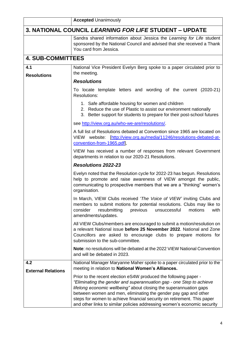|                                  | <b>Accepted Unanimously</b>                                                                                                                                                                                                                                                                                                                                                                                                              |
|----------------------------------|------------------------------------------------------------------------------------------------------------------------------------------------------------------------------------------------------------------------------------------------------------------------------------------------------------------------------------------------------------------------------------------------------------------------------------------|
|                                  | <b>3. NATIONAL COUNCIL LEARNING FOR LIFE STUDENT - UPDATE</b>                                                                                                                                                                                                                                                                                                                                                                            |
|                                  | Sandra shared information about Jessica the Learning for Life student<br>sponsored by the National Council and advised that she received a Thank<br>You card from Jessica.                                                                                                                                                                                                                                                               |
| <b>4. SUB-COMMITTEES</b>         |                                                                                                                                                                                                                                                                                                                                                                                                                                          |
| 4.1<br><b>Resolutions</b>        | National Vice President Evelyn Berg spoke to a paper circulated prior to<br>the meeting.                                                                                                                                                                                                                                                                                                                                                 |
|                                  | <b>Resolutions</b>                                                                                                                                                                                                                                                                                                                                                                                                                       |
|                                  | To locate template letters and wording of the current (2020-21)<br><b>Resolutions:</b>                                                                                                                                                                                                                                                                                                                                                   |
|                                  | 1. Safe affordable housing for women and children<br>2. Reduce the use of Plastic to assist our environment nationally<br>3. Better support for students to prepare for their post-school futures                                                                                                                                                                                                                                        |
|                                  | see http://view.org.au/who-we-are/resolutions/.                                                                                                                                                                                                                                                                                                                                                                                          |
|                                  | A full list of Resolutions debated at Convention since 1965 are located on<br>VIEW website: [http://view.org.au/media/11246/resolutions-debated-at-<br>convention-from-1965.pdf],                                                                                                                                                                                                                                                        |
|                                  | VIEW has received a number of responses from relevant Government<br>departments in relation to our 2020-21 Resolutions.                                                                                                                                                                                                                                                                                                                  |
|                                  | <b>Resolutions 2022-23</b>                                                                                                                                                                                                                                                                                                                                                                                                               |
|                                  | Evelyn noted that the Resolution cycle for 2022-23 has begun. Resolutions<br>help to promote and raise awareness of VIEW amongst the public,<br>communicating to prospective members that we are a "thinking" women's<br>organisation.                                                                                                                                                                                                   |
|                                  | In March, VIEW Clubs received 'The Voice of VIEW' inviting Clubs and<br>members to submit motions for potential resolutions. Clubs may like to<br>resubmitting<br>previous<br>unsuccessful<br>motions<br>consider<br>with<br>amendments/updates.                                                                                                                                                                                         |
|                                  | All VIEW Clubs/members are encouraged to submit a motion/resolution on<br>a relevant National issue before 25 November 2022. National and Zone<br>Councillors are asked to encourage clubs to prepare motions for<br>submission to the sub-committee.                                                                                                                                                                                    |
|                                  | Note: no resolutions will be debated at the 2022 VIEW National Convention<br>and will be debated in 2023.                                                                                                                                                                                                                                                                                                                                |
| 4.2<br><b>External Relations</b> | National Manager Maryanne Maher spoke to a paper circulated prior to the<br>meeting in relation to National Women's Alliances.                                                                                                                                                                                                                                                                                                           |
|                                  | Prior to the recent election eS4W produced the following paper -<br>"Eliminating the gender and superannuation gap - one Step to achieve<br>lifelong economic wellbeing" about closing the superannuation gaps<br>between women and men, eliminating the gender pay gap and other<br>steps for women to achieve financial security on retirement. This paper<br>and other links to similar policies addressing women's economic security |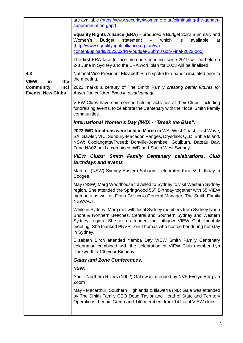|                                                      | are available (https://www.security4women.org.au/eliminating-the-gender-<br>superannuation-gap/)                                                                                                                                                                                                   |
|------------------------------------------------------|----------------------------------------------------------------------------------------------------------------------------------------------------------------------------------------------------------------------------------------------------------------------------------------------------|
|                                                      | <b>Equality Rights Alliance (ERA)</b> – produced a Budget 2022 Summary and<br>Women's<br><b>Budget</b><br>statement<br>which<br>available<br>$\equiv$<br>is<br>at<br>(http://www.equalityrightsalliance.org.au/wp-<br>content/uploads/2022/02/Pre-budget-Submission-Final-2022.doc)                |
|                                                      | The first ERA face to face members meeting since 2019 will be held on<br>2-3 June in Sydney and the ERA work plan for 2023 will be finalised.                                                                                                                                                      |
| 4.3<br><b>VIEW</b><br>in<br>the                      | National Vice President Elizabeth Birch spoke to a paper circulated prior to<br>the meeting.                                                                                                                                                                                                       |
| <b>Community</b><br>incl<br><b>Events, New Clubs</b> | 2022 marks a century of The Smith Family creating better futures for<br>Australian children living in disadvantage.                                                                                                                                                                                |
|                                                      | VIEW Clubs have commenced holding activities at their Clubs, including<br>fundraising events, to celebrate the Centenary with their local Smith Family<br>communities.                                                                                                                             |
|                                                      | International Women's Day (IWD) - "Break the Bias".                                                                                                                                                                                                                                                |
|                                                      | 2022 IWD functions were held in March in WA: West Coast, First Wave;<br>SA: Gawler, VIC: Sunbury-Macedon Ranges, Drysdale; QLD: Bribie Island.<br>NSW: Coolangatta/Tweed; Bonville-Boambee, Goulburn, Bateau Bay,<br>Zone NA02 held a combined IWD and South West Sydney.                          |
|                                                      | <b>VIEW Clubs' Smith Family Centenary celebrations, Club</b><br><b>Birthdays and events</b>                                                                                                                                                                                                        |
|                                                      | March - (NSW) Sydney Eastern Suburbs, celebrated their 5 <sup>th</sup> birthday in<br>Coogee.                                                                                                                                                                                                      |
|                                                      | May (NSW) Marg Woodhouse travelled to Sydney to visit Western Sydney<br>region. She attended the Springwood 56 <sup>th</sup> Birthday together with 65 VIEW<br>members as well as Fiona Colluccio General Manager, The Smith Family<br>NSW/ACT.                                                    |
|                                                      | While in Sydney, Marg met with local Sydney members from Sydney North<br>Shore & Northern Beaches, Central and Southern Sydney and Western<br>Sydney region. She also attended the Lithgow VIEW Club monthly<br>meeting. She thanked PNVP Toni Thomas who hosted her during her stay<br>in Sydney. |
|                                                      | Elizabeth Birch attended Yamba Day VIEW Smith Family Centenary<br>celebration combined with the celebration of VIEW Club member Lyn<br>Duckworth's 100 year Birthday.                                                                                                                              |
|                                                      | <b>Galas and Zone Conferences.</b>                                                                                                                                                                                                                                                                 |
|                                                      | NSW:                                                                                                                                                                                                                                                                                               |
|                                                      | April - Northern Rivers (NJ02) Gala was attended by NVP Evelyn Berg via<br>Zoom                                                                                                                                                                                                                    |
|                                                      | May - Macarthur, Southern Highlands & Illawarra (NB) Gala was attended<br>by The Smith Family CEO Doug Taylor and Head of State and Territory<br>Operations, Leonie Green and 140 members from 14 Local VIEW clubs.                                                                                |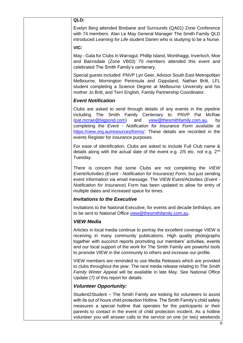## **QLD:**

Evelyn Berg attended Brisbane and Surrounds (QA01) Zone Conference with 74 members. Alan Le May General Manager The Smith Family QLD introduced *Learning for Life* student Darien who is studying to be a Nurse.

#### **VIC:**

May - Gala for Clubs in Warragul, Phillip Island, Wonthaggi, Inverloch, Moe and Bairnsdale (Zone VB03) 70 members attended this event and celebrated The Smith Family's centenary.

Special guests included: PNVP Lyn Geer, Advisor South East Metropolitan Melbourne, Mornington Peninsula and Gippsland, Nathan Britt, LFL student completing a Science Degree at Melbourne University and his mother Jo Britt, and Terri English, Family Partnership Coordinator.

## *Event Notification*

Clubs are asked to send through details of any events in the pipeline including The Smith Family Centenary to: PNVP Pat McRae [\(pat.mcrae@bigpond.com\)](mailto:pat.mcrae@bigpond.com) and [view@thesmithfamily.com.au,](mailto:view@thesmithfamily.com.au) by completing the *Event - Notification for Insurance Form* available at [https://view.org.au/resources/forms/.](https://view.org.au/resources/forms/) These details are recorded in the events Register for insurance purposes*.*

For ease of identification, Clubs are asked to include Full Club name & details along with the actual date of the event e.g.  $2/5$  etc. not e.g.  $2<sup>nd</sup>$ Tuesday.

There is concern that some Clubs are not completing the *VIEW Event/Activities (Event - Notification for Insurance) Form,* but just sending event information via email message. The VIEW Event/Activities (*Event - Notification for Insurance*) Form has been updated to allow for entry of multiple dates and increased space for times.

## *Invitations to the Executive*

Invitations to the National Executive, for events and decade birthdays, are to be sent to National Office [view@thesmithfamily.com.au.](mailto:view@thesmithfamily.com.au)

#### *VIEW Media*

Articles in local media continue to portray the excellent coverage VIEW is receiving in many community publications. High quality photographs together with succinct reports promoting our members' activities, events and our local support of the work for The Smith Family are powerful tools to promote VIEW in the community to others and increase our profile.

VIEW members are reminded to use Media Releases which are provided to clubs throughout the year. The next media release relating to *The Smith Family Winter Appeal* will be available in late May. See National Office Update (7) of this report for details.

#### *Volunteer Opportunity:*

Student2Student – The Smith Family are looking for volunteers to assist with its out of hours child protection Hotline. The Smith Family's child safety measures a special hotline that operates for the participants or their parents to contact in the event of child protection incident. As a hotline volunteer you will answer calls to the service on one (or two) weekends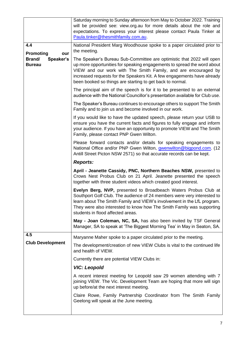|                                      | Saturday morning to Sunday afternoon from May to October 2022. Training<br>will be provided see: view.org.au for more details about the role and<br>expectations. To express your interest please contact Paula Tinker at<br>Paula.tinker@thesmithfamily.com.au.                                                                                           |
|--------------------------------------|------------------------------------------------------------------------------------------------------------------------------------------------------------------------------------------------------------------------------------------------------------------------------------------------------------------------------------------------------------|
| 4.4<br>Promoting<br>our              | National President Marg Woodhouse spoke to a paper circulated prior to<br>the meeting.                                                                                                                                                                                                                                                                     |
| Speaker's<br>Brand/<br><b>Bureau</b> | The Speaker's Bureau Sub-Committee are optimistic that 2022 will open<br>up more opportunities for speaking engagements to spread the word about<br>VIEW and our work with The Smith Family, and are encouraged by<br>increased requests for the Speakers Kit. A few engagements have already<br>been booked so things are starting to get back to normal. |
|                                      | The principal aim of the speech is for it to be presented to an external<br>audience with the National Councillor's presentation available for Club use.                                                                                                                                                                                                   |
|                                      | The Speaker's Bureau continues to encourage others to support The Smith<br>Family and to join us and become involved in our work.                                                                                                                                                                                                                          |
|                                      | If you would like to have the updated speech, please return your USB to<br>ensure you have the current facts and figures to fully engage and inform<br>your audience. If you have an opportunity to promote VIEW and The Smith<br>Family, please contact PNP Gwen Wilton.                                                                                  |
|                                      | Please forward contacts and/or details for speaking engagements to<br>National Office and/or PNP Gwen Wilton, <i>gwenwilton@bigpond.com.</i> (12<br>Antill Street Picton NSW 2571) so that accurate records can be kept.                                                                                                                                   |
|                                      | <b>Reports:</b>                                                                                                                                                                                                                                                                                                                                            |
|                                      | April - Jeanette Cassidy, PNC, Northern Beaches NSW, presented to<br>Crows Nest Probus Club on 21 April. Jeanette presented the speech<br>together with three student videos which created good interest.                                                                                                                                                  |
|                                      | Evelyn Berg, NVP, presented to Broadbeach Waters Probus Club at<br>Southport Golf Club. The audience of 24 members were very interested to<br>learn about The Smith Family and VIEW's involvement in the LfL program.<br>They were also interested to know how The Smith Family was supporting<br>students in flood affected areas.                        |
|                                      | May - Joan Coleman, NC, SA, has also been invited by TSF General<br>Manager, SA to speak at 'The Biggest Morning Tea' in May in Seaton, SA.                                                                                                                                                                                                                |
| 4.5                                  | Maryanne Maher spoke to a paper circulated prior to the meeting.                                                                                                                                                                                                                                                                                           |
| <b>Club Development</b>              | The development/creation of new VIEW Clubs is vital to the continued life<br>and health of VIEW.                                                                                                                                                                                                                                                           |
|                                      | Currently there are potential VIEW Clubs in:                                                                                                                                                                                                                                                                                                               |
|                                      | <b>VIC: Leopold</b>                                                                                                                                                                                                                                                                                                                                        |
|                                      | A recent interest meeting for Leopold saw 29 women attending with 7<br>joining VIEW. The Vic. Development Team are hoping that more will sign<br>up before/at the next interest meeting.                                                                                                                                                                   |
|                                      | Claire Rowe, Family Partnership Coordinator from The Smith Family<br>Geelong will speak at the June meeting.                                                                                                                                                                                                                                               |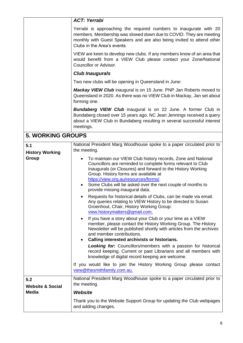|                                             | <b>ACT: Yerrabi</b>                                                                                                                                                                                                                                                                                                                                                                                                                                                                                                                                                                                                                                                                                                                                                                                                                                                                                                                                                                                                                                                                                                                                                                                                                                                                                                      |
|---------------------------------------------|--------------------------------------------------------------------------------------------------------------------------------------------------------------------------------------------------------------------------------------------------------------------------------------------------------------------------------------------------------------------------------------------------------------------------------------------------------------------------------------------------------------------------------------------------------------------------------------------------------------------------------------------------------------------------------------------------------------------------------------------------------------------------------------------------------------------------------------------------------------------------------------------------------------------------------------------------------------------------------------------------------------------------------------------------------------------------------------------------------------------------------------------------------------------------------------------------------------------------------------------------------------------------------------------------------------------------|
|                                             | Yerrabi is approaching the required numbers to inaugurate with 20<br>members. Membership was slowed down due to COVID. They are meeting<br>monthly with Guest Speakers and are also being invited to attend other<br>Clubs in the Area's events.                                                                                                                                                                                                                                                                                                                                                                                                                                                                                                                                                                                                                                                                                                                                                                                                                                                                                                                                                                                                                                                                         |
|                                             | VIEW are keen to develop new clubs. If any members know of an area that<br>would benefit from a VIEW Club please contact your Zone/National<br>Councillor or Advisor.                                                                                                                                                                                                                                                                                                                                                                                                                                                                                                                                                                                                                                                                                                                                                                                                                                                                                                                                                                                                                                                                                                                                                    |
|                                             | <b>Club Inaugurals</b>                                                                                                                                                                                                                                                                                                                                                                                                                                                                                                                                                                                                                                                                                                                                                                                                                                                                                                                                                                                                                                                                                                                                                                                                                                                                                                   |
|                                             | Two new clubs will be opening in Queensland in June:                                                                                                                                                                                                                                                                                                                                                                                                                                                                                                                                                                                                                                                                                                                                                                                                                                                                                                                                                                                                                                                                                                                                                                                                                                                                     |
|                                             | <b>Mackay VIEW Club</b> inaugural is on 15 June. PNP Jan Roberts moved to<br>Queensland in 2020. As there was no VIEW Club in Mackay, Jan set about<br>forming one.                                                                                                                                                                                                                                                                                                                                                                                                                                                                                                                                                                                                                                                                                                                                                                                                                                                                                                                                                                                                                                                                                                                                                      |
|                                             | <b>Bundaberg VIEW Club</b> inaugural is on 22 June. A former Club in<br>Bundaberg closed over 15 years ago. NC Jean Jennings received a query<br>about a VIEW Club in Bundaberg resulting in several successful interest<br>meetings.                                                                                                                                                                                                                                                                                                                                                                                                                                                                                                                                                                                                                                                                                                                                                                                                                                                                                                                                                                                                                                                                                    |
| <b>5. WORKING GROUPS</b>                    |                                                                                                                                                                                                                                                                                                                                                                                                                                                                                                                                                                                                                                                                                                                                                                                                                                                                                                                                                                                                                                                                                                                                                                                                                                                                                                                          |
| 5.1<br><b>History Working</b><br>Group      | National President Marg Woodhouse spoke to a paper circulated prior to<br>the meeting.<br>To maintain our VIEW Club history records, Zone and National<br>$\bullet$<br>Councillors are reminded to complete forms relevant to Club<br>Inaugurals (or Closures) and forward to the History Working<br>Group. History forms are available at<br>https://view.org.au/resources/forms/<br>Some Clubs will be asked over the next couple of months to<br>$\bullet$<br>provide missing inaugural data.<br>Requests for historical details of Clubs, can be made via email.<br>Any queries relating to VIEW History to be directed to Susan<br>Groenhout, Chair, History Working Group:<br>view.historymatters@gmail.com.<br>If you have a story about your Club or your time as a VIEW<br>member, please contact the History Working Group. The History<br>Newsletter will be published shortly with articles from the archives<br>and member contributions.<br>Calling interested archivists or historians.<br>$\bullet$<br><b>Looking for:</b> Councillors/members with a passion for historical<br>record keeping. Current or past Librarians and all members with<br>knowledge of digital record keeping are welcome.<br>If you would like to join the History Working Group please contact<br>view@thesmithfamily.com.au. |
| 5.2                                         | National President Marg Woodhouse spoke to a paper circulated prior to                                                                                                                                                                                                                                                                                                                                                                                                                                                                                                                                                                                                                                                                                                                                                                                                                                                                                                                                                                                                                                                                                                                                                                                                                                                   |
| <b>Website &amp; Social</b><br><b>Media</b> | the meeting.<br><b>Website</b>                                                                                                                                                                                                                                                                                                                                                                                                                                                                                                                                                                                                                                                                                                                                                                                                                                                                                                                                                                                                                                                                                                                                                                                                                                                                                           |
|                                             | Thank you to the Website Support Group for updating the Club webpages<br>and adding changes.                                                                                                                                                                                                                                                                                                                                                                                                                                                                                                                                                                                                                                                                                                                                                                                                                                                                                                                                                                                                                                                                                                                                                                                                                             |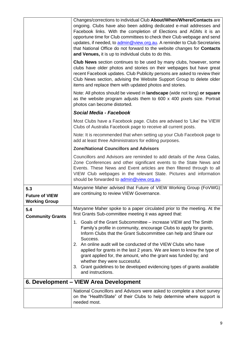|                                                      | Changes/corrections to individual Club About/When/Where/Contacts are<br>ongoing. Clubs have also been adding dedicated e-mail addresses and<br>Facebook links. With the completion of Elections and AGMs it is an<br>opportune time for Club committees to check their Club webpage and send<br>updates, if needed, to admin@view.org.au. A reminder to Club Secretaries<br>that National Office do not forward to the website changes for Contacts<br>and Venues, it is up to individual clubs to do this.<br><b>Club News</b> section continues to be used by many clubs, however, some |
|------------------------------------------------------|-------------------------------------------------------------------------------------------------------------------------------------------------------------------------------------------------------------------------------------------------------------------------------------------------------------------------------------------------------------------------------------------------------------------------------------------------------------------------------------------------------------------------------------------------------------------------------------------|
|                                                      | clubs have older photos and stories on their webpages but have great<br>recent Facebook updates. Club Publicity persons are asked to review their<br>Club News section, advising the Website Support Group to delete older<br>items and replace them with updated photos and stories.                                                                                                                                                                                                                                                                                                     |
|                                                      | Note: All photos should be viewed in <b>landscape</b> (wide not long) or square<br>as the website program adjusts them to 600 x 400 pixels size. Portrait<br>photos can become distorted.                                                                                                                                                                                                                                                                                                                                                                                                 |
|                                                      | Social Media - Facebook                                                                                                                                                                                                                                                                                                                                                                                                                                                                                                                                                                   |
|                                                      | Most Clubs have a Facebook page. Clubs are advised to 'Like' the VIEW<br>Clubs of Australia Facebook page to receive all current posts.                                                                                                                                                                                                                                                                                                                                                                                                                                                   |
|                                                      | Note: It is recommended that when setting up your Club Facebook page to<br>add at least three Administrators for editing purposes.                                                                                                                                                                                                                                                                                                                                                                                                                                                        |
|                                                      | <b>Zone/National Councillors and Advisors</b>                                                                                                                                                                                                                                                                                                                                                                                                                                                                                                                                             |
|                                                      | Councillors and Advisors are reminded to add details of the Area Galas,<br>Zone Conferences and other significant events to the State News and<br>Events. These News and Event articles are then filtered through to all<br>VIEW Club webpages in the relevant State. Pictures and information<br>should be forwarded to admin@view.org.au.                                                                                                                                                                                                                                               |
| 5.3<br><b>Future of VIEW</b><br><b>Working Group</b> | Maryanne Maher advised that Future of VIEW Working Group (FoVWG)<br>are continuing to review VIEW Governance.                                                                                                                                                                                                                                                                                                                                                                                                                                                                             |
| 5.4<br><b>Community Grants</b>                       | Maryanne Maher spoke to a paper circulated prior to the meeting. At the<br>first Grants Sub-committee meeting it was agreed that:                                                                                                                                                                                                                                                                                                                                                                                                                                                         |
|                                                      | 1. Goals of the Grant Subcommittee – increase VIEW and The Smith<br>Family's profile in community, encourage Clubs to apply for grants,<br>Inform Clubs that the Grant Subcommittee can help and Share our<br>Success.<br>2. An online audit will be conducted of the VIEW Clubs who have<br>applied for grants in the last 2 years. We are keen to know the type of<br>grant applied for, the amount, who the grant was funded by; and<br>whether they were successful.<br>3. Grant guidelines to be developed evidencing types of grants available                                      |
|                                                      | and instructions.                                                                                                                                                                                                                                                                                                                                                                                                                                                                                                                                                                         |
|                                                      | 6. Development - VIEW Area Development                                                                                                                                                                                                                                                                                                                                                                                                                                                                                                                                                    |
|                                                      | National Councillors and Advisors were asked to complete a short survey<br>on the "Health/State" of their Clubs to help determine where support is<br>needed most.                                                                                                                                                                                                                                                                                                                                                                                                                        |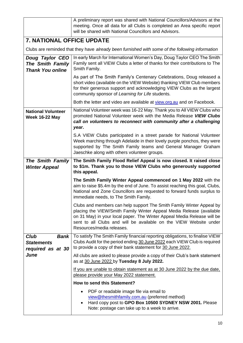|                                                                              | A preliminary report was shared with National Councillors/Advisors at the<br>meeting. Once all data for all Clubs is completed an Area specific report<br>will be shared with National Councillors and Advisors.                                                                                                          |
|------------------------------------------------------------------------------|---------------------------------------------------------------------------------------------------------------------------------------------------------------------------------------------------------------------------------------------------------------------------------------------------------------------------|
| <b>7. NATIONAL OFFICE UPDATE</b>                                             |                                                                                                                                                                                                                                                                                                                           |
|                                                                              | Clubs are reminded that they have already been furnished with some of the following information                                                                                                                                                                                                                           |
| Doug Taylor CEO<br><b>The Smith Family</b><br><b>Thank You online</b>        | In early March for International Women's Day, Doug Taylor CEO The Smith<br>Family sent all VIEW Clubs a letter of thanks for their contributions to The<br>Smith Family.                                                                                                                                                  |
|                                                                              | As part of The Smith Family's Centenary Celebrations, Doug released a<br>short video (available on the VIEW Website) thanking VIEW Club members<br>for their generous support and acknowledging VIEW Clubs as the largest<br>community sponsor of Learning for Life students.                                             |
|                                                                              | Both the letter and video are available at view.org.au and on Facebook.                                                                                                                                                                                                                                                   |
| <b>National Volunteer</b><br><b>Week 16-22 May</b>                           | National Volunteer week was 16-22 May. Thank you to All VIEW Clubs who<br>promoted National Volunteer week with the Media Release VIEW Clubs<br>call on volunteers to reconnect with community after a challenging<br>year.                                                                                               |
|                                                                              | S.A VIEW Clubs participated in a street parade for National Volunteer<br>Week marching through Adelaide in their lovely purple ponchos, they were<br>supported by The Smith Family teams and General Manager Graham<br>Jaeschke along with others volunteer groups.                                                       |
| The Smith Family<br><b>Winter Appeal</b>                                     | The Smith Family Flood Relief Appeal is now closed. It raised close<br>to \$1m. Thank you to those VIEW Clubs who generously supported<br>this appeal.                                                                                                                                                                    |
|                                                                              | The Smith Family Winter Appeal commenced on 1 May 2022 with the<br>aim to raise \$5.4m by the end of June. To assist reaching this goal, Clubs,<br>National and Zone Councillors are requested to forward funds surplus to<br>immediate needs, to The Smith Family.                                                       |
|                                                                              | Clubs and members can help support The Smith Family Winter Appeal by<br>placing the VIEW/Smith Family Winter Appeal Media Release (available<br>on 31 May) in your local paper. The Winter Appeal Media Release will be<br>sent to all Clubs and will be available on the VIEW Website under<br>Resources/media releases. |
| <b>Club</b><br><b>Bank</b><br><b>Statements</b><br>required as at 30<br>June | To satisfy The Smith Family financial reporting obligations, to finalise VIEW<br>Clubs Audit for the period ending 30 June 2022 each VIEW Club is required<br>to provide a copy of their bank statement for 30 June 2022.                                                                                                 |
|                                                                              | All clubs are asked to please provide a copy of their Club's bank statement<br>as at 30 June 2022 by Tuesday 8 July 2022.                                                                                                                                                                                                 |
|                                                                              | If you are unable to obtain statement as at 30 June 2022 by the due date,<br>please provide your May 2022 statement.                                                                                                                                                                                                      |
|                                                                              | How to send this Statement?                                                                                                                                                                                                                                                                                               |
|                                                                              | PDF or readable image file via email to<br>view@thesmithfamily.com.au (preferred method)<br>Hard copy post to GPO Box 10500 SYDNEY NSW 2001. Please<br>$\bullet$<br>Note: postage can take up to a week to arrive.                                                                                                        |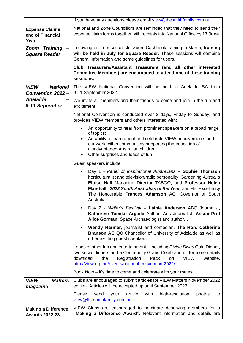|                                                     | If you have any questions please email view@thesmithfamily.com.au.                                                                                                                                                                                                                                                                          |
|-----------------------------------------------------|---------------------------------------------------------------------------------------------------------------------------------------------------------------------------------------------------------------------------------------------------------------------------------------------------------------------------------------------|
| <b>Expense Claims</b><br>end of Financial<br>Year   | National and Zone Councillors are reminded that they need to send their<br>expense claim forms together with receipts into National Office by 17 June.                                                                                                                                                                                      |
| <b>Zoom Training</b><br><b>Square Reader</b>        | Following on from successful Zoom Cashbook training in March, training<br>will be held in July for Square Reader. These sessions will combine<br>General information and some guidelines for users.                                                                                                                                         |
|                                                     | Club Treasurers/Assistant Treasurers (and all other interested<br>Committee Members) are encouraged to attend one of these training<br>sessions.                                                                                                                                                                                            |
| <b>National</b><br><b>VIEW</b><br>Convention 2022 - | The VIEW National Convention will be held in Adelaide SA from<br>9-11 September 2022.                                                                                                                                                                                                                                                       |
| <b>Adelaide</b><br>9-11 September                   | We invite all members and their friends to come and join in the fun and<br>excitement.                                                                                                                                                                                                                                                      |
|                                                     | National Convention is conducted over 3 days, Friday to Sunday, and<br>provides VIEW members and others interested with:                                                                                                                                                                                                                    |
|                                                     | An opportunity to hear from prominent speakers on a broad range<br>of topics;<br>An ability to learn about and celebrate VIEW achievements and<br>our work within communities supporting the education of<br>disadvantaged Australian children;<br>Other surprises and loads of fun<br>$\bullet$                                            |
|                                                     | Guest speakers include:                                                                                                                                                                                                                                                                                                                     |
|                                                     | Day 1 - Panel of Inspirational Australians - Sophie Thomson<br>horticulturalist and television/radio personality, Gardening Australia<br>Eloise Hall Managing Director TABOO; and Professor Helen<br>Marshall - 2022 South Australian of the Year, and Her Excellency<br>The Honourable Frances Adamson AC, Governor of South<br>Australia. |
|                                                     | Day 2 - Writer's Festival - Lainie Anderson ABC Journalist,<br>Katherine Tamiko Arguile Author, Arts Journalist; Assoc Prof<br>Alice Gorman, Space Archaeologist and author                                                                                                                                                                 |
|                                                     | Wendy Harmer, journalist and comedian, The Hon. Catherine<br><b>Branson AC QC</b> Chancellor of University of Adelaide as well as<br>other exciting guest speakers.                                                                                                                                                                         |
|                                                     | Loads of other fun and entertainment – including Divine Divas Gala Dinner,<br>two social dinners and a Community Grand Celebration - for more details<br>Registration<br>Pack<br><b>VIEW</b><br>website.<br>download<br>the<br>on<br>http://view.org.au/events/national-convention-2022/                                                    |
|                                                     | Book Now – it's time to come and celebrate with your mates!                                                                                                                                                                                                                                                                                 |
| <b>VIEW</b><br><b>Matters</b><br>magazine           | Clubs are encouraged to submit articles for VIEW Matters November 2022<br>edition. Articles will be accepted up until September 2022.                                                                                                                                                                                                       |
|                                                     | Please<br>article<br>with<br>high-resolution<br>send<br>your<br>photos<br>to<br>view@thesmithfamily.com.au.                                                                                                                                                                                                                                 |
| <b>Making a Difference</b><br><b>Awards 2022-23</b> | VIEW Clubs are encouraged to nominate deserving members for a<br>"Making a Difference Award". Relevant information and details are                                                                                                                                                                                                          |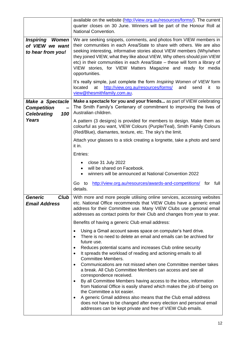|                                                                     | available on the website (http://view.org.au/resources/forms/). The current<br>quarter closes on 30 June. Winners will be part of the Honour Roll at<br>National Convention.                                                                                                                                                                                                                                                                                      |
|---------------------------------------------------------------------|-------------------------------------------------------------------------------------------------------------------------------------------------------------------------------------------------------------------------------------------------------------------------------------------------------------------------------------------------------------------------------------------------------------------------------------------------------------------|
| Inspiring<br>Women<br>of VIEW we want<br>to hear from you!          | We are seeking snippets, comments, and photos from VIEW members in<br>their communities in each Area/State to share with others. We are also<br>seeking interesting, informative stories about VIEW members (Why/when<br>they joined VIEW, what they like about VIEW, Why others should join VIEW<br>etc) in their communities in each Area/State - these will form a library of<br>VIEW stories, for VIEW Matters Magazine and ready for media<br>opportunities. |
|                                                                     | It's really simple, just complete the form Inspiring Women of VIEW form<br>located<br>at<br>http://view.org.au/resources/forms/<br>and<br>send<br>it<br>to<br>view@thesmithfamily.com.au.                                                                                                                                                                                                                                                                         |
| Make a Spectacle<br><b>Competition</b><br><b>Celebrating</b><br>100 | Make a spectacle for you and your friends as part of VIEW celebrating<br>The Smith Family's Centenary of commitment to improving the lives of<br>Australian children.                                                                                                                                                                                                                                                                                             |
| <b>Years</b>                                                        | A pattern (3 designs) is provided for members to design. Make them as<br>colourful as you want, VIEW Colours (Purple/Teal), Smith Family Colours<br>(Red/Blue), diamantes, texture, etc. The sky's the limit.                                                                                                                                                                                                                                                     |
|                                                                     | Attach your glasses to a stick creating a lorgnette, take a photo and send<br>it in.                                                                                                                                                                                                                                                                                                                                                                              |
|                                                                     | Entries:                                                                                                                                                                                                                                                                                                                                                                                                                                                          |
|                                                                     | close 31 July 2022<br>٠<br>will be shared on Facebook.<br>winners will be announced at National Convention 2022                                                                                                                                                                                                                                                                                                                                                   |
|                                                                     | http://view.org.au/resources/awards-and-competitions/ for full<br>Go to<br>details.                                                                                                                                                                                                                                                                                                                                                                               |
| <b>Generic</b><br><b>Club</b><br><b>Email Address</b>               | With more and more people utilising online services, accessing websites<br>etc. National Office recommends that VIEW Clubs have a generic email<br>address for their Committee use. Many VIEW Clubs use personal email<br>addresses as contact points for their Club and changes from year to year.                                                                                                                                                               |
|                                                                     | Benefits of having a generic Club email address:                                                                                                                                                                                                                                                                                                                                                                                                                  |
|                                                                     | Using a Gmail account saves space on computer's hard drive.<br>There is no need to delete an email and emails can be archived for<br>future use.<br>Reduces potential scams and increases Club online security<br>It spreads the workload of reading and actioning emails to all<br>$\bullet$<br><b>Committee Members.</b>                                                                                                                                        |
|                                                                     | Communications are not missed when one Committee member takes<br>$\bullet$<br>a break. All Club Committee Members can access and see all<br>correspondence received.<br>By all Committee Members having access to the inbox, information<br>٠                                                                                                                                                                                                                     |
|                                                                     | from National Office is easily shared which makes the job of being on<br>the Committee a lot easier.<br>A generic Gmail address also means that the Club email address<br>٠<br>does not have to be changed after every election and personal email<br>addresses can be kept private and free of VIEW Club emails.                                                                                                                                                 |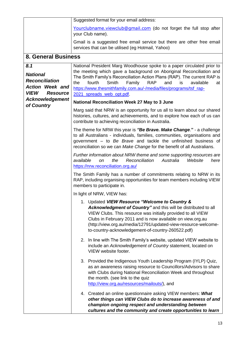|                                                                                                             | Suggested format for your email address:                                                                                                                                                                                                                                                                                                                                                                              |
|-------------------------------------------------------------------------------------------------------------|-----------------------------------------------------------------------------------------------------------------------------------------------------------------------------------------------------------------------------------------------------------------------------------------------------------------------------------------------------------------------------------------------------------------------|
|                                                                                                             | Yourclubname.viewclub@gmail.com (do not forget the full stop after<br>your Club name).                                                                                                                                                                                                                                                                                                                                |
|                                                                                                             | Gmail is a suggested free email service but there are other free email<br>services that can be utilised (eg Hotmail, Yahoo)                                                                                                                                                                                                                                                                                           |
| <b>8. General Business</b>                                                                                  |                                                                                                                                                                                                                                                                                                                                                                                                                       |
| 8.1<br><b>National</b><br><b>Reconciliation</b><br><b>Action Week and</b><br><b>VIEW</b><br><b>Resource</b> | National President Marg Woodhouse spoke to a paper circulated prior to<br>the meeting which gave a background on Aboriginal Reconciliation and<br>The Smith Family's Reconciliation Action Plans (RAP). The current RAP is<br><b>Smith</b><br>and<br>fourth<br>Family<br><b>RAP</b><br>available<br>the<br>is<br>at<br>https://www.thesmithfamily.com.au/-/media/files/programs/tsf_rap-<br>2021 spreads web opt.pdf. |
| <b>Acknowledgement</b>                                                                                      | <b>National Reconciliation Week 27 May to 3 June</b>                                                                                                                                                                                                                                                                                                                                                                  |
| of Country                                                                                                  | Marg said that NRW is an opportunity for us all to learn about our shared<br>histories, cultures, and achievements, and to explore how each of us can<br>contribute to achieving reconciliation in Australia.                                                                                                                                                                                                         |
|                                                                                                             | The theme for NRW this year is "Be Brave. Make Change." - a challenge<br>to all Australians - individuals, families, communities, organisations and<br>government - to Be Brave and tackle the unfinished business of<br>reconciliation so we can Make Change for the benefit of all Australians.                                                                                                                     |
|                                                                                                             | Further information about NRW theme and some supporting resources are<br>available<br>the<br>Reconciliation<br>Australia<br>Website<br>here<br><b>on</b><br>https://nrw.reconciliation.org.au/                                                                                                                                                                                                                        |
|                                                                                                             | The Smith Family has a number of commitments relating to NRW in its<br>RAP, including organising opportunities for team members including VIEW<br>members to participate in.                                                                                                                                                                                                                                          |
|                                                                                                             | In light of NRW, VIEW has:                                                                                                                                                                                                                                                                                                                                                                                            |
|                                                                                                             | 1. Updated VIEW Resource "Welcome to Country &<br>Acknowledgment of Country" and this will be distributed to all<br>VIEW Clubs. This resource was initially provided to all VIEW<br>Clubs in February 2011 and is now available on view.org.au<br>(http://view.org.au/media/12791/updated-view-resource-welcome-<br>to-country-acknowledgement-of-country-260522.pdf)                                                 |
|                                                                                                             | 2. In line with The Smith Family's website, updated VIEW website to<br>include an Acknowledgement of Country statement, located on<br>VIEW website footer.                                                                                                                                                                                                                                                            |
|                                                                                                             | 3. Provided the Indigenous Youth Leadership Program (IYLP) Quiz,<br>as an awareness raising resource to Councillors/Advisors to share<br>with Clubs during National Reconciliation Week and throughout<br>the month. (see link to the quiz<br>http://view.org.au/resources/mailouts/), and                                                                                                                            |
|                                                                                                             | 4. Created an online questionnaire asking VIEW members: What<br>other things can VIEW Clubs do to increase awareness of and<br>champion ongoing respect and understanding between<br>cultures and the community and create opportunities to learn                                                                                                                                                                     |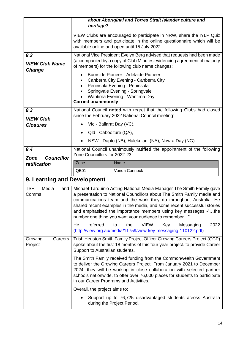|                                               | about Aboriginal and Torres Strait Islander culture and<br>heritage?                                                                                                                                                                                                                                                                                                                                                       |
|-----------------------------------------------|----------------------------------------------------------------------------------------------------------------------------------------------------------------------------------------------------------------------------------------------------------------------------------------------------------------------------------------------------------------------------------------------------------------------------|
|                                               | VIEW Clubs are encouraged to participate in NRW, share the IYLP Quiz<br>with members and participate in the online questionnaire which will be<br>available online and open until 15 July 2022.                                                                                                                                                                                                                            |
| 8.2<br><b>VIEW Club Name</b><br><b>Change</b> | National Vice President Evelyn Berg advised that requests had been made<br>(accompanied by a copy of Club Minutes evidencing agreement of majority<br>of members) for the following club name changes:                                                                                                                                                                                                                     |
|                                               | Burnside Pioneer - Adelaide Pioneer<br>Canberra City Evening - Canberra City<br>Peninsula Evening - Peninsula<br>Springvale Evening - Springvale<br>Wantirna Evening - Wantirna Day.<br><b>Carried unanimously</b>                                                                                                                                                                                                         |
| 8.3                                           | National Council noted with regret that the following Clubs had closed                                                                                                                                                                                                                                                                                                                                                     |
| <b>VIEW Club</b>                              | since the February 2022 National Council meeting:<br>Vic - Ballarat Day (VC),                                                                                                                                                                                                                                                                                                                                              |
| <b>Closures</b>                               | Qld - Caboolture (QA),<br>$\bullet$                                                                                                                                                                                                                                                                                                                                                                                        |
|                                               | NSW - Dapto (NB), Halekulani (NA), Nowra Day (NG)                                                                                                                                                                                                                                                                                                                                                                          |
| 8.4                                           | National Council unanimously ratified the appointment of the following                                                                                                                                                                                                                                                                                                                                                     |
| <b>Zone</b><br><b>Councillor</b>              | Zone Councillors for 2022-23                                                                                                                                                                                                                                                                                                                                                                                               |
| ratification                                  | Zone<br>Name                                                                                                                                                                                                                                                                                                                                                                                                               |
|                                               | Vonda Cannock<br>QB01                                                                                                                                                                                                                                                                                                                                                                                                      |
| 9. Learning and Development                   |                                                                                                                                                                                                                                                                                                                                                                                                                            |
| <b>TSF</b><br>Media<br>and<br>Comms           | Michael Tarquinio Acting National Media Manager The Smith Family gave<br>a presentation to National Councillors about The Smith Family media and<br>communications team and the work they do throughout Australia. He<br>shared recent examples in the media, and some recent successful stories<br>and emphasised the importance members using key messages -"the<br>number one thing you want your audience to remember" |
|                                               | 2022<br>He<br>referred<br>the<br><b>VIEW</b><br>to<br>Key<br>Messaging<br>(http://view.org.au/media/11759/view-key-messaging-110122.pdf)                                                                                                                                                                                                                                                                                   |
| Growing<br>Careers<br>Project                 | Trish Heuston Smith Family Project Officer Growing Careers Project (GCP)<br>spoke about the first 18 months of this four year project. to provide Career<br>Support to Australian students.                                                                                                                                                                                                                                |
|                                               | The Smith Family received funding from the Commonwealth Government<br>to deliver the Growing Careers Project. From January 2021 to December<br>2024, they will be working in close collaboration with selected partner<br>schools nationwide, to offer over 76,000 places for students to participate<br>in our Career Programs and Activities.                                                                            |
|                                               | Overall, the project aims to:                                                                                                                                                                                                                                                                                                                                                                                              |
|                                               | Support up to 76,725 disadvantaged students across Australia<br>during the Project Period.                                                                                                                                                                                                                                                                                                                                 |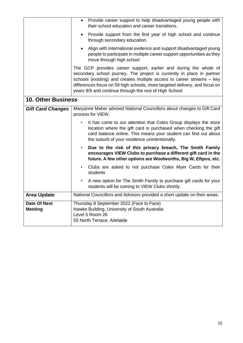|                                       | Provide career support to help disadvantaged young people with<br>$\bullet$<br>their school education and career transitions.                                                                                                                                                                                                                                 |  |  |
|---------------------------------------|---------------------------------------------------------------------------------------------------------------------------------------------------------------------------------------------------------------------------------------------------------------------------------------------------------------------------------------------------------------|--|--|
|                                       | Provide support from the first year of high school and continue<br>$\bullet$<br>through secondary education.                                                                                                                                                                                                                                                  |  |  |
|                                       | Align with international evidence and support disadvantaged young<br>$\bullet$<br>people to participate in multiple career support opportunities as they<br>move through high school                                                                                                                                                                          |  |  |
|                                       | The GCP provides career support, earlier and during the whole of<br>secondary school journey. The project is currently in place in partner<br>schools (existing) and creates multiple access to career streams - key<br>differences focus on 59 high schools, more targeted delivery, and focus on<br>years 8/9 and continue through the rest of High School. |  |  |
| <b>10. Other Business</b>             |                                                                                                                                                                                                                                                                                                                                                               |  |  |
| <b>Gift Card Changes</b>              | Maryanne Maher advised National Councillors about changes to Gift Card<br>process for VIEW.                                                                                                                                                                                                                                                                   |  |  |
|                                       | It has come to our attention that Coles Group displays the store<br>location where the gift card is purchased when checking the gift<br>card balance online. This means your student can find out about<br>the suburb of your residence unintentionally.                                                                                                      |  |  |
|                                       | Due to the risk of this privacy breach, The Smith Family<br>$\bullet$<br>encourages VIEW Clubs to purchase a different gift card in the<br>future. A few other options are Woolworths, Big W, Eftpos, etc.                                                                                                                                                    |  |  |
|                                       | Clubs are asked to not purchase Coles Myer Cards for their<br>students                                                                                                                                                                                                                                                                                        |  |  |
|                                       | A new option for The Smith Family to purchase gift cards for your<br>students will be coming to VIEW Clubs shortly.                                                                                                                                                                                                                                           |  |  |
| <b>Area Update</b>                    | National Councillors and Advisors provided a short update on their areas.                                                                                                                                                                                                                                                                                     |  |  |
| <b>Date Of Next</b><br><b>Meeting</b> | Thursday 8 September 2022 (Face to Face)<br>Hawke Building, University of South Australia<br>Level 5 Room 26<br>55 North Terrace, Adelaide                                                                                                                                                                                                                    |  |  |